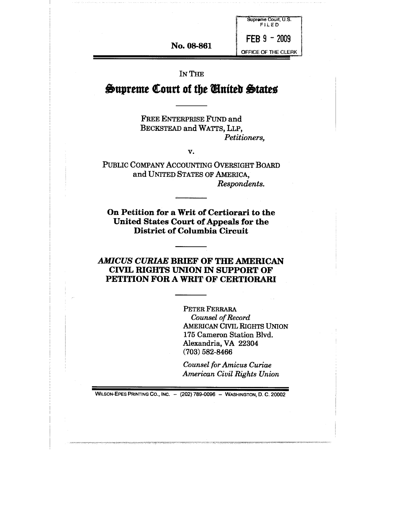**No. 08-861**

**FEB 9 - 2009** OFFICE OF THE CLERK

 $\blacksquare$ 

Supreme Court, U.S. FILED

IN THE

# **Supreme Court of the United States**

FREE ENTERPRISE FUND and BECKSTEAD and WATTS, LLP, *Petitioners,*

*V.*

PUBLIC COMPANY ACCOUNTING OVERSIGHT BOARD and UNITED STATES OF AMERICA, *Respondents.*

**On Petition for a Writ of Certiorari to the United States Court of Appeals for the District of Columbia Circuit**

## *AMICUS CURIAE* BRIEF OF THE AMERICAN CIVIL RIGHTS UNION IN SUPPORT OF PETITION **FOR A WRIT OF** CERTIORARI

PETER FERRARA *Counsel of Record* AMERICAN CIVIL RIGHTS UNION 175 Cameron Station Blvd. Alexandria, VA 22304 (703) 582-8466

*Counsel for Amicus Curiae American Civil Rights Union*

WILSON-EPES PRINTING CO., INC. - (202) 789-0096 - WASHINGTON, D. C. 20002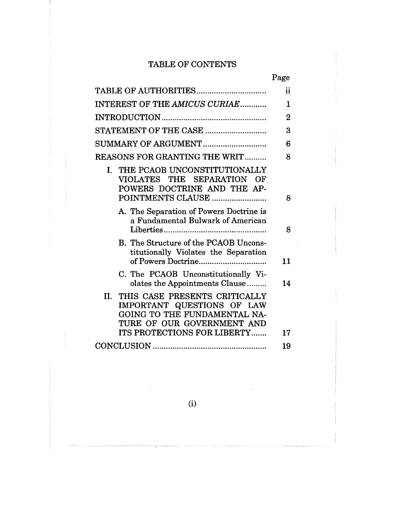# TABLE OF CONTENTS

|                                                                                                                                                                        | Page          |
|------------------------------------------------------------------------------------------------------------------------------------------------------------------------|---------------|
|                                                                                                                                                                        | $\mathbf{ii}$ |
| INTEREST OF THE AMICUS CURIAE                                                                                                                                          | $\mathbf{1}$  |
|                                                                                                                                                                        | $\bf{2}$      |
| STATEMENT OF THE CASE                                                                                                                                                  | 3             |
| SUMMARY OF ARGUMENT                                                                                                                                                    | 6             |
| <b>REASONS FOR GRANTING THE WRIT</b>                                                                                                                                   | 8             |
| I. THE PCAOB UNCONSTITUTIONALLY<br>VIOLATES THE SEPARATION<br>OF<br>POWERS DOCTRINE AND THE AP-<br>POINTMENTS CLAUSE                                                   | 8             |
| A. The Separation of Powers Doctrine is<br>a Fundamental Bulwark of American                                                                                           | 8             |
| B. The Structure of the PCAOB Uncons-<br>titutionally Violates the Separation                                                                                          | 11            |
| C. The PCAOB Unconstitutionally Vi-<br>olates the Appointments Clause                                                                                                  | 14            |
| THIS CASE PRESENTS CRITICALLY<br>II.<br>IMPORTANT QUESTIONS OF LAW<br>GOING TO THE FUNDAMENTAL NA-<br>TURE OF OUR GOVERNMENT AND<br><b>ITS PROTECTIONS FOR LIBERTY</b> | 17            |
|                                                                                                                                                                        | 19            |

(i)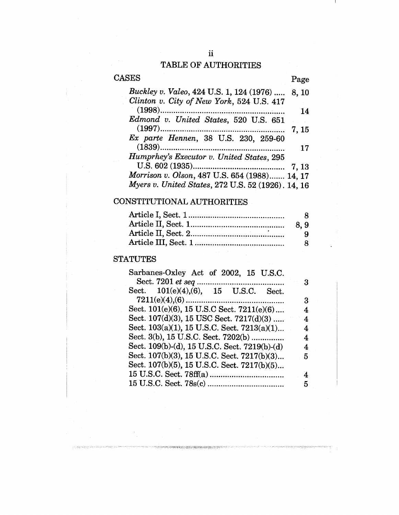### TABLE OF AUTHORITIES

# CASES Page *Buckley v. Valeo,* 424 U.S. 1, 124 (1976) ..... 8, 10 *Clinton v. City of New York,* 524 U.S. 417 (1998) ......................................................... 14 *Edmond v. United States,* 520 U.S. 651 (1997) .........................................................7, 15 *Ex parte Hennen,* 38 U.S. 230, 259-60 (1839) .......................................................... 17 *Humprhey's Executor v. United States,* 295 U.S. 602 (1935) .......................................... 7, 13 *Morrison v. Olson,* 487 U.S. 654 (1988) ....... 14, 17 *Myers v. United States,* 272 U.S. 52 (1926). 14, 16

#### CONSTITUTIONAL AUTHORITIES

| 8.9 |
|-----|
| ч.  |
|     |
|     |

#### **STATUTES**

| Sarbanes-Oxley Act of 2002, 15 U.S.C.         |   |
|-----------------------------------------------|---|
|                                               | з |
| Sect. 101(e)(4),(6), 15 U.S.C.<br>Sect.       |   |
|                                               | З |
| Sect. 101(e)(6), 15 U.S.C Sect. 7211(e)(6)    | 4 |
| Sect. 107(d)(3), 15 USC Sect. 7217(d)(3)      | 4 |
| Sect. 103(a)(1), 15 U.S.C. Sect. 7213(a)(1)   | 4 |
| Sect. 3(b), 15 U.S.C. Sect. 7202(b)           | 4 |
| Sect. 109(b)-(d), 15 U.S.C. Sect. 7219(b)-(d) | 4 |
| Sect. 107(b)(3), 15 U.S.C. Sect. 7217(b)(3)   | 5 |
| Sect. 107(b)(5), 15 U.S.C. Sect. 7217(b)(5)   |   |
|                                               | 4 |
|                                               | 5 |
|                                               |   |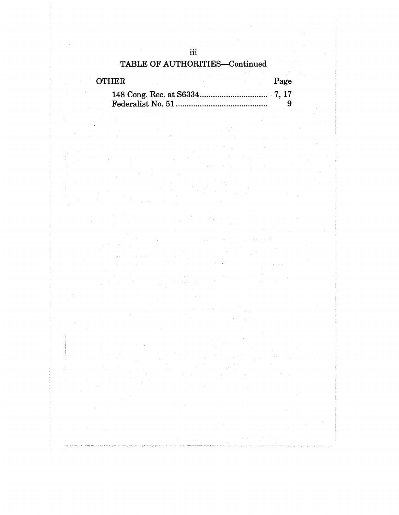| <b>TABLE OF AUTHORITIES-Continued</b> |  |      |
|---------------------------------------|--|------|
| <b>OTHER</b>                          |  | Page |
|                                       |  |      |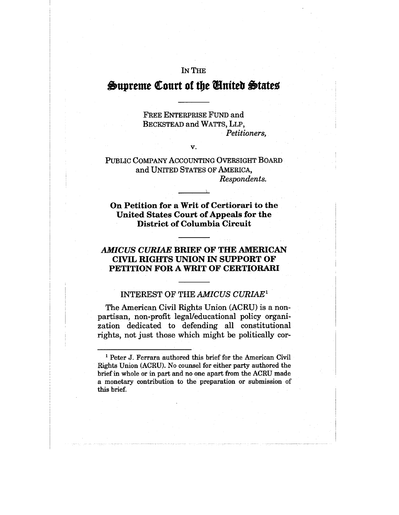## IN THE

# Supreme Court of the United States

FREE ENTERPRISE FUND and BECKSTEAD and WATTS, LLP, *Petitioners,*

PUBLIC COMPANY ACCOUNTING OVERSIGHT BOARD and UNITED STATES OF AMERICA, *Respondents.*

*V.*

**On Petition for a Writ of Certiorari to** the **United** States Court of Appeals for the **District** of Columbia **Circuit**

## *AMICUS CURIAE* **BRIEF OF THE AMERICAN CIVIL RIGHTS UNION IN SUPPORT OF PETITION FOR A WRIT OF CERTIORARI**

# INTEREST OF THE *AMICUS CURIAE1*

The American Civil Rights Union (ACRU) is a nonpartisan, non-profit legal/educational policy organization dedicated to defending all constitutional rights, not just those which might be politically cor-

<sup>1</sup> Peter J. Ferrara authored this brief for the American Civil Rights Union (ACRU). No counsel for either party authored the brief in whole or in part and no one apart from the ACRU made a monetary contribution to the preparation or submission of this brief.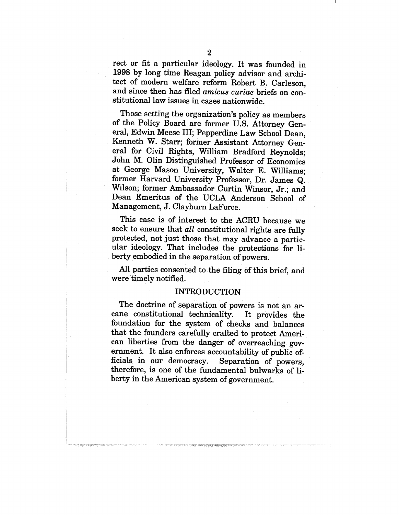rect or fit a particular ideology. It was founded in 1998 by long time Reagan policy advisor and architect of modern welfare reform Robert B. Carleson, and since then has filed *amicus curiae* briefs on constitutional law issues in cases nationwide.

Those setting the organization's policy as members of the Policy Board. are former U.S. Attorney General, Edwin Meese III; Pepperdine Law School Dean, Kenneth W. Starr; former Assistant Attorney General for Civil Rights, William Bradford Reynolds; John M. Olin Distinguished Professor of Economics at George Mason University, Walter E. Williams; former Harvard University Professor, Dr. James Q. Wilson; former Ambassador Curtin Winsor, Jr.; and Dean Emeritus of the UCLA Anderson School of Management, J. Clayburn LaForce.

This case is of interest to the ACRU because we seek to ensure that *all* constitutional rights are fully protected, not just those that may advance a particular ideology. That includes the protections for liberty embodied in the separation of powers.

All parties consented to the filing of this brief, and were timely notified..

#### INTRODUCTION

The doctrine of separation of powers is not an arcane constitutional technicality. It provides the foundation for the system of checks and balances that the founders carefully crafted to protect American liberties from the danger of overreaching government. It also enforces accountability of public officials in our democracy. Separation of powers, therefore, is one of the fundamental bulwarks of liberty in the American system of government.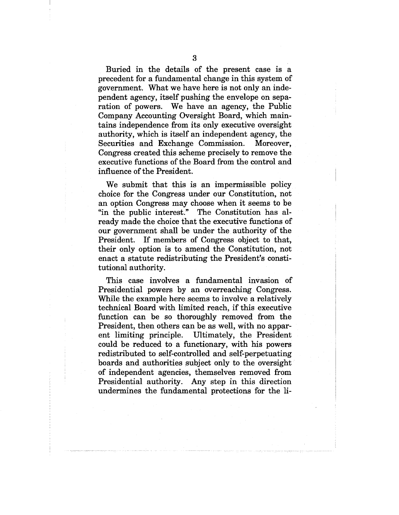Buried in the details of the present case is a precedent for a fundamental change in this system of government. What we have here is not only an independent agency, itself pushing the envelope on separation of powers. We have an agency, the Public Company Accounting Oversight Board, which maintains independence from its only executive oversight authority, which is itself an independent agency, the Securities and Exchange Commission. Moreover, Congress created this scheme precisely to remove the executive functions of the Board from the control and influence of the President.

We submit that this is an impermissible policy choice for the Congress under our Constitution, not an option Congress may choose when it seems to be "in the public interest." The Constitution has already made the choice that the executive functions of our government shall be under the authority of the President. If members of Congress object to that, their only option is to amend the Constitution, not enact a statute redistributing the President's constitutional authority.

This case involves a fundamental invasion of Presidential powers by an overreaching Congress. While the example here seems to involve a relatively technical Board with limited reach, if this executive function can be so thoroughly removed from the President, then others can be as well, with no apparent limiting principle. Ultimately, the President could be reduced to a functionary, with his powers redistributed to self-controlled and self-perpetuating boards and authorities subject only to the oversight of independent agencies, themselves removed from Presidential authority. Any step in this direction undermines the fundamental protections for the li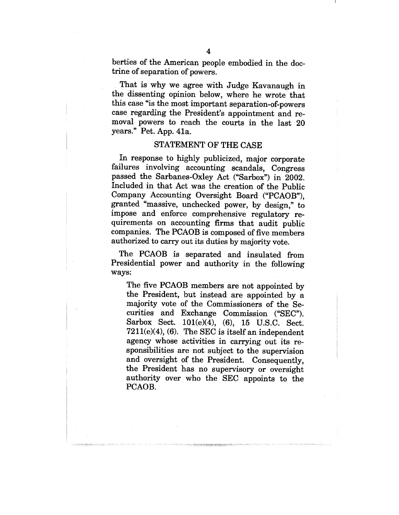berties of the American people embodied in the doctrine of separation of powers.

That is why we agree with Judge Kavanaugh in the dissenting opinion below, where he wrote that this case "is the most important separation-of-powers case regarding the President's appointment and removal powers to reach the courts in the last 20 years." Pet. App. 41a.

### STATEMENT OF THE CASE

In response to highly publicized, major corporate failures involving accounting scandals, Congress passed the Sarbanes-Oxley Act ("Sarbox") in 2002. Included in that Act was the creation of the Public Company Accounting Oversight Board ("PCAOB"), granted "massive, unchecked power, by design," to impose and enforce comprehensive regulatory requirements on accounting firms that audit public companies. The PCAOB is composed of five members authorized to carry out its duties by majority vote.

The PCAOB is separated and insulated from Presidential power and authority in the following ways:

The five PCAOB members are not appointed by the President, but instead are appointed by a majority vote of the Commissioners of the Securities and Exchange Commission ("SEC"). Sarbox Sect. 101(e)(4), (6), 15 U.S.C. Sect.  $7211(e)(4)$ , (6). The SEC is itself an independent agency whose activities in carrying out its responsibilities are not subject to the supervision and oversight of the President. Consequently, the President has no supervisory or oversight authority over who the SEC appoints to the PCAOB.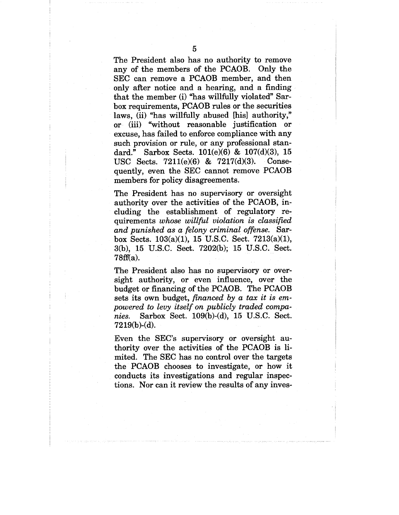The President also has no authority to remove any of the members of the PCAOB. Only the SEC can remove a PCAOB member, and then only after notice and a hearing, and a finding that the member (i) "has willfully violated" Sarbox requirements, PCAOB rules or the securities laws, (ii) "has willfully abused [his] authority," or (iii) "without reasonable justification or excuse, has failed to enforce compliance with any such provision or rule, or any professional standard." Sarbox Sects. 101(e)(6) & 107(d)(3), 15<br>USC Sects. 7211(e)(6) & 7217(d)(3). Conse-USC Sects.  $7211(e)(6)$  &  $7217(d)(3)$ . quently, even the SEC cannot remove PCAOB members for policy disagreements.

The President has no supervisory or oversight authority over the activities of the PCAOB, including the establishment of regulatory requirements *whose willful violation is classified and punished as a felony criminal offense.* Sarbox Sects. 103(a)(1), 15 U.S.C. Sect. 7213(a)(1), 3(b), 15 U.S.C. Sect. 7202(b); 15 U.S.C. Sect.  $78ff(a)$ .

The President also has no supervisory or oversight authority, or even influence, over the budget or financing of the PCAOB. The PCAOB sets its own budget, *financed by a tax it is empowered to levy itself on publicly traded companies.* Sarbox Sect. 109(b)-(d), 15 U.S.C. Sect. 7219(b)-(d).

Even the SEC's supervisory or oversight authority over the activities of the PCAOB is limited. The SEC has no control over the targets the PCAOB chooses to investigate, or how it conducts its investigations and regular inspections. Nor can it review the results of any inves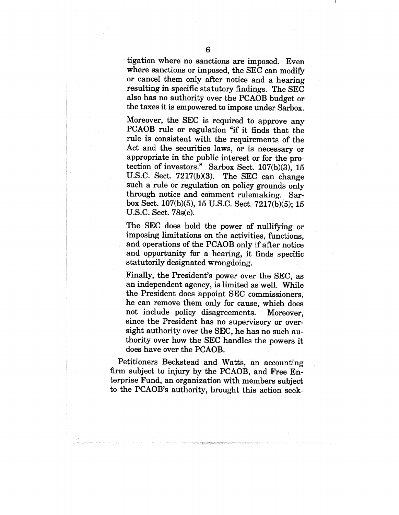tigation where no sanctions are imposed. Even where sanctions or imposed, the SEC can modify or cancel them only after notice and a hearing resulting in specific statutory findings. The SEC also has no authority over the PCAOB budget or the taxes it is empowered to impose under Sarbox.

Moreover, the SEC is required to approve any PCAOB rule or regulation "if it finds that the rule is consistent with the requirements of the Act and the securities laws, or is necessary or appropriate in the public interest or for the protection of investors." Sarbox Sect. 107(b)(3), 15 U.S.C. Sect. 7217(b)(3). The SEC can change such a rule or regulation on policy grounds only through notice and comment rulemaking. Sarbox Sect. 107(b)(5), 15 U.S.C. Sect. 7217(b)(5); 15 U.S.C. Sect. 78s(c).

The SEC does hold the power of nullifying or imposing limitations on the activities, functions, and operations of the PCAOB only if after notice and opportunity for a hearing, it finds specific statutorily designated wrongdoing.

Finally, the President's power over the SEC, as an independent agency, is limited as well. While the President does appoint SEC commissioners, he can remove them only for cause, which does not include policy disagreements. Moreover, since the President has no supervisory or oversight authority over the SEC, he has no such authority over how the SEC handles the powers it does have over the PCAOB.

Petitioners Beckstead and Watts, an accounting firm subject to injury by the PCAOB, and Free Enterprise Fund, an organization with members subject to the PCAOB's authority, brought this action seek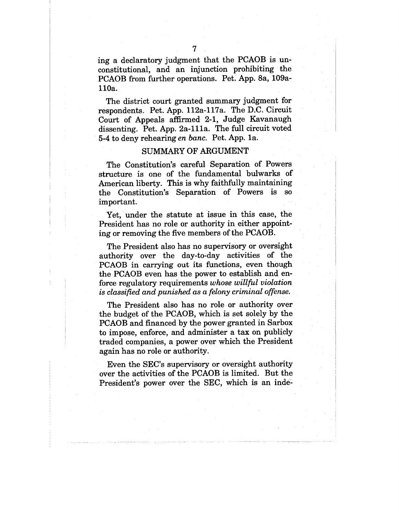ing a declaratory judgment that the PCAOB is unconstitutional, and an injunction prohibiting the PCAOB from further operations. Pet. App. 8a, 109all0a.

The district court granted summary judgment for respondents. Pet. App. l12a-117a. The D.C. Circuit Court of Appeals affirmed 2-1, Judge Kavanaugh dissenting. Pet. App. 2a-111a. The full circuit voted 5-4 to deny rehearing *en banc.* Pet. App. la.

### SUMMARY OF ARGUMENT

The Constitution's careful Separation of Powers structure is one of the fundamental bulwarks of American liberty. This is why faithfully maintaining the Constitution's Separation of Powers is so important.

Yet, under the statute at issue in this case, the President has no role or authority in either appointing or removing the five members of the PCAOB.

The President also has no supervisory or oversight authority over the day-to-day activities of the PCAOB in carrying out its functions, even though the PCAOB even has the power to establish and enforce regulatory requirements *whose willful violation is classified and punished as a felony criminal offense.*

The President also has no role or authority over the budget of the PCAOB, which is set solely by the PCAOB and financed by the power granted in Sarbox to impose, enforce, and administer a tax on publicly traded companies, a power over which the President again has no role or authority.

Even the SEC's supervisory or oversight authority over the activities of the PCAOB is limited. But the President's power over the SEC, which is an inde-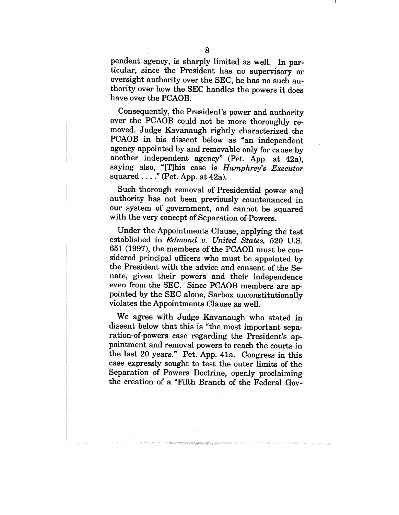pendent agency, is sharply limited as well. In particular, since the President has no supervisory or oversight authority over the SEC, he has no such authority over how the SEC handles the powers it does have over the PCAOB.

Consequently, the President's power and authority over the PCAOB could not be more thoroughly removed. Judge Kavanaugh rightly characterized the PCAOB in his dissent below as "an independent agency appointed by and removable only for cause by another independent agency" (Pet. App. at 42a), saying also, "[T]his case is *Humphrey's Executor* squared  $\ldots$ ." (Pet. App. at 42a).

Such thorough removal of Presidential power and authority has not been previously countenanced in our system of government, and cannot be squared with the very concept of Separation of Powers.

Under the Appointments Clause, applying the test established in *Edmond v. United States,* 520 U.S. 651 (1997), the members of the PCAOB must be considered principal officers who must be appointed by the President with the advice and consent of the Senate, given their powers and their independence even from the SEC. Since PCAOB members are appointed by the SEC alone, Sarbox unconstitutionally violates the Appointments Clause as well.

We agree with Judge Kavanaugh who stated in dissent below that this is "the most important separation-of-powers case regarding the President's appointment and removal powers to reach the courts in the last 20 years." Pet. App. 41a. Congress in this case expressly sought to test the outer limits of the Separation of Powers Doctrine, openly proclaiming the creation of a "Fifth Branch of the Federal Gov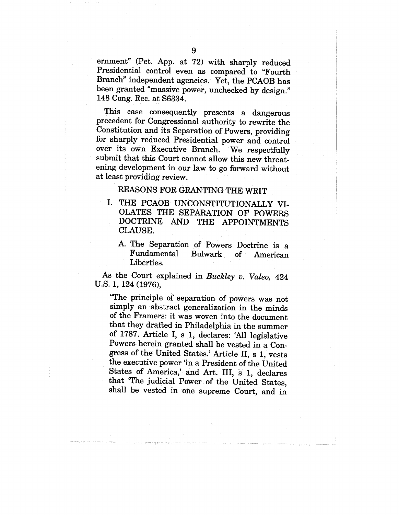ernment" (Pet. App. at 72) with sharply reduced Presidential control even as compared to "Fourth Branch" independent agencies. Yet, the PCAOB has been granted "massive power, unchecked by design." 148 Cong. Rec. at S6334.

This case consequently presents a dangerous precedent for Congressional authority to rewrite the Constitution and its Separation of Powers, providing for sharply reduced Presidential power and control over its own Executive Branch. We respectfully submit that this Court cannot allow this new threatening development in our law to go forward without at least providing review.

## REASONS FOR GRANTING THE WRIT

- I. THE PCAOB UNCONSTITUTIONALLY VI-OLATES THE SEPARATION OF POWERS DOCTRINE AND THE APPOINTMENTS CLAUSE.
	- A. The Separation of Powers Doctrine is a Fundamental Bulwark of American Liberties.

As the Court explained in *Buckley v. Valeo,* 424 U.S. 1, 124 (1976),

"The principle of separation of powers was not simply an abstract generalization in the minds of the Framers: it was woven into the document that they drafted in Philadelphia in the summer of 1787. Article I, s 1, declares: 'All legislative Powers herein granted shall be vested in a Congress of the United States.' Article II, s 1, vests the executive power 'in a President of the United States of America,' and Art. III, s 1, declares that 'The judicial Power of the United States, shall be vested in one supreme Court, and in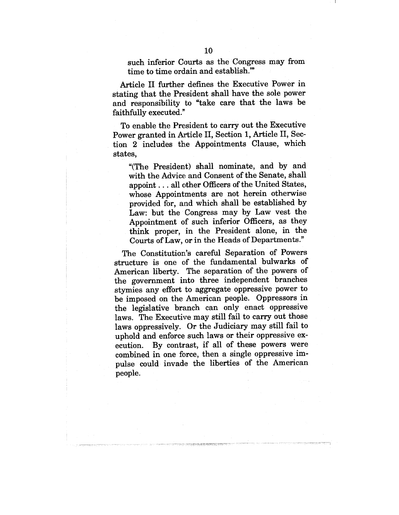such inferior Courts as the Congress may from time to time ordain and establish."

Article II further defines the Executive Power in stating that the President shall have the sole power and responsibility to "take care that the laws be faithfully executed."

To enable the President to carry out the Executive Power granted in Article II, Section 1, Article II, Section 2 includes the Appointments Clause, which states,

"(The President) shall nominate, and by and with the Advice and Consent of the Senate, shall appoint.., all other Officers of the United States, whose Appointments are not herein otherwise provided for, and which shall be established by Law: but the Congress may by Law vest the Appointment of such inferior Officers, as they think proper, in the President alone, in the Courts of Law, or in the Heads of Departments."

The Constitution's careful Separation of Powers structure is one of the fundamental bulwarks of American liberty. The separation of the powers of the government into three independent branches stymies any effort to aggregate oppressive power to be imposed on the American people. Oppressors in the legislative branch can only enact oppressive laws. The Executive may still fail to carry out those laws oppressively. Or the Judiciary may still fail to uphold and enforce such laws or their oppressive execution. By contrast, if all of these powers were combined in one force, then a single oppressive impulse could invade the liberties of the American people.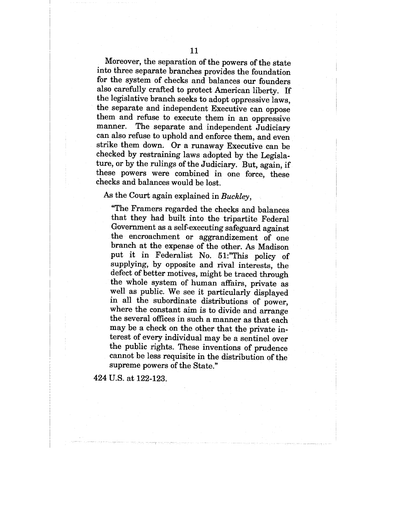Moreover, the separation of the powers of the state into three separate branches provides the foundation for the system of checks and balances our founders also carefully crafted to protect American liberty. If the legislative branch seeks to adopt oppressive laws, the separate and independent Executive can oppose them and refuse to execute them in an oppressive manner. The separate and independent Judiciary can also refuse to uphold and enforce them, and even strike them down. Or a runaway Executive can be checked by restraining laws adopted by the Legislature, or by the rulings of the Judiciary. But, again, if these powers were combined in one force, these checks and balances would be lost.

## As the Court again explained in *Buckley,*

"The Framers regarded the checks and balances that they had built into the tripartite Federal Government as a self-executing safeguard against the encroachment or aggrandizement of one branch at the expense of the other. As Madison put it in Federalist No. 51:"This policy of supplying, by opposite and rival interests, the defect of better motives, might be traced through the whole system of human affairs, private as well as public. We see it particularly displayed in all the subordinate distributions of power, where the constant aim is to divide and arrange the several offices in such a manner as that each may be a check on the other that the private interest of every individual may be a sentinel over the public rights. These inventions of prudence cannot be less requisite in the distribution of the supreme powers of the State."

424 U.S. at 122-123.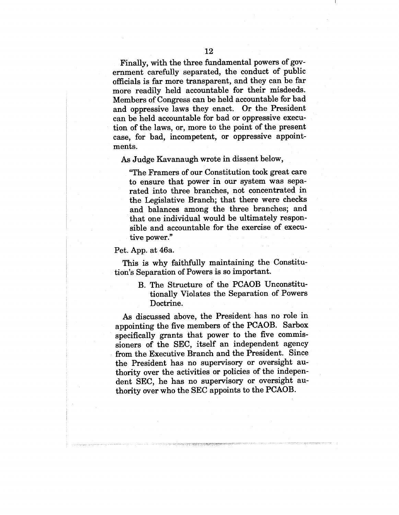Finally, with the three fundamental powers of government carefully separated, the conduct of public officials is far more transparent, and they can be far more readily held accountable for their misdeeds. Members of Congress can be held accountable for bad and oppressive laws they enact. Or the President can be held accountable for bad or oppressive execution of the laws, or, more to the point of the present case, for bad, incompetent, or oppressive appointments.

As Judge Kavanaugh wrote in dissent below,

"The Framers of our Constitution took great care to ensure that power in our system was separated into three branches, not concentrated in the Legislative Branch; that there were checks and balances among the three branches; and that one individual would be ultimately responsible and accountable for the exercise of executive power."

#### Pet. App. at 46a.

This is why faithfully maintaining the Constitution's Separation of Powers is so important.

> B. The Structure of the PCAOB Unconstitutionally Violates the Separation of Powers Doctrine.

As discussed above, the President has no role in appointing the five members of the PCAOB. Sarbox specifically grants that power to the five commissioners of the SEC, itself an independent agency from the Executive Branch and the President. Since the President has no supervisory or oversight authority over the activities or policies of the independent SEC, he has no supervisory or oversight authority over who the SEC appoints to the PCAOB.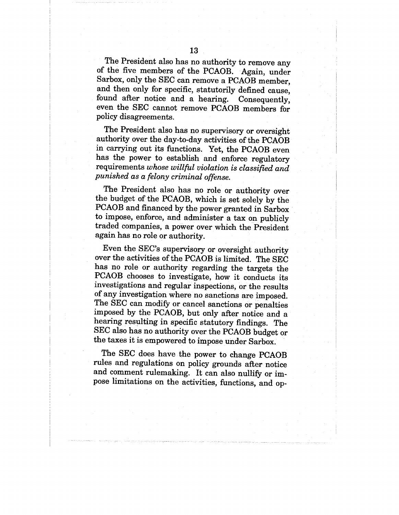The President also has no authority to remove any of the five members of the PCAOB. -Again, under Sarbox, only the SEC can remove a PCAOB member, and then only for specific, statutorily defined cause, found after notice and a hearing. Consequently, even the SEC cannot remove PCAOB members for policy disagreements.

The President also has no supervisory or oversight authority over the day-to-day activities of the PCAOB in carrying out its functions. Yet, the PCAOB even has the power to establish and enforce regulatory requirements *whose willful violation is classified and punished as a felony criminal offense.*

The President also has no role or authority over the budget of the PCAOB, which is set solely by the PCAOB and financed by the power granted in Sarbox to impose, enforce, and administer a tax on publicly traded companies, a power over which the President again has no role or authority.

Even the SEC's supervisory or oversight authority over the activities of the PCAOB is limited. The SEC has no role or authority regarding the targets the PCAOB chooses to investigate, how it conducts its investigations and regular inspections, or the results of any investigation where no sanctions are imposed. The SEC can modify or cancel sanctions or penalties imposed by the PCAOB, but only after notice and a hearing resulting in specific statutory findings. The SEC also has no authority over the PCAOB budget or the taxes it is empowered to impose under Sarbox.

The SEC does have the power to change PCAOB rules and regulations on policy grounds after notice and comment rulemaking. It can also nullify or impose limitations on the activities, functions, and op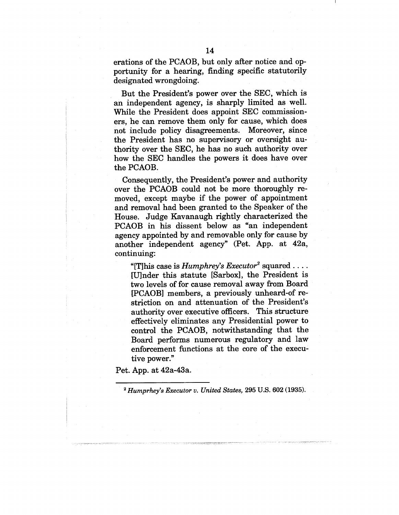erations of the PCAOB, but only after notice and opportunity for a hearing, finding specific statutorily designated wrongdoing.

But the President's power over the SEC, which is an independent agency, is sharply limited as well. While the President does appoint SEC commissioners, he can remove them only for cause, which does not include policy disagreements. Moreover, since the President has no supervisory or oversight authority over the SEC, he has no such authority over how the SEC handles the powers it does have over the PCAOB.

Consequently, the President's power and authority over the PCAOB could not be more thoroughly removed, except maybe if the power of appointment and removal had been granted to the Speaker of the House. Judge Kavanaugh rightly characterized the PCAOB in his dissent below as "an independent agency appointed by and removable only for cause by another independent agency" (Pet. App. at 42a, continuing:

"[T]his case is  $Humphrey's$   $Executor<sup>2</sup>$  squared .... [U]nder this statute [Sarbox], the President is two levels of for cause removal away from Board [PCAOB] members, a previously unheard-of restriction on and attenuation of the President's authority over executive officers. This structure effectively eliminates any Presidential power to control the PCAOB, notwithstanding that the Board performs numerous regulatory and law enforcement functions at the core of the executive power."

Pet. App. at 42a-43a.

*~ Humprhey's Executor v. United States,* 295 U.S. 602 (1935).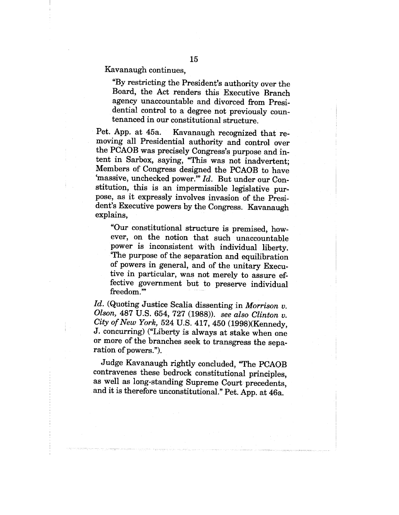Kavanaugh continues,

"By restricting the President's authority over the Board, the Act renders this Executive Branch agency unaccountable and divorced from Presidential control to a degree not previously countenanced in our constitutional structure.

Pet. App. at 45a. Kavanaugh recognized that removing all Presidential authority and control over the PCAOB was precisely Congress's purpose and intent in Sarbox, saying, "This was not inadvertent; Members of Congress designed the PCAOB to have 'massive, unchecked power." *Id.* But under our Constitution, this is an impermissible legislative purpose, as it expressly involves invasion of the President's Executive powers by the Congress. Kavanaugh explains,

"Our constitutional structure is premised, however, on the notion that such unaccountable power is inconsistent with individual liberty. 'The purpose of the separation and equilibration of powers in general, and of the unitary Executive in particular, was not merely to assure effective government but to preserve individual freedom."

*Id.* (Quoting Justice Scalia dissenting in *Morrison v. Olson,* 487 U.S. 654, 727 (1988)). *see also Clinton v. City of New York,* 524 U.S. 417, 450 (1998)(Kennedy, J. concurring) ("Liberty is always at stake when one or more of the branches seek to transgress the separation of powers.").

Judge Kavanaugh rightly concluded, "The PCAOB contravenes these bedrock constitutional principles, as well as long-standing Supreme Court precedents, and it is therefore unconstitutional." Pet. App. at 46a.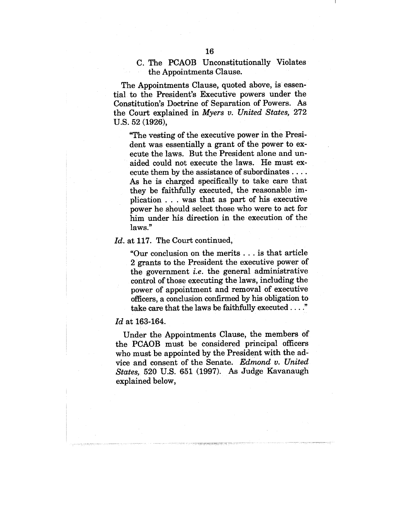## C. The PCAOB Unconstitutionally Violates the Appointments Clause.

The Appointments Clause, quoted above, is essential to the President's Executive powers under the Constitution's Doctrine of Separation of Powers. As the Court explained in *Myers v. United States,* 272 U.S. 52 (1926),

~The vesting of the executive power in the President was essentially a grant of the power to execute the laws. But the President alone and unaided could not execute the laws. He must execute them by the assistance of subordinates .... As he is charged specifically to take care that they be faithfully executed, the reasonable implication . . . was that as part of his executive power he should select those who were to act for him under his direction in the execution of the laws."

#### *Id.* at 117. The Court continued,

~Our conclusion on the merits.., is that article 2 grants to the President the executive power of the government *i.e.* the general administrative control of those executing the laws, including the power of appointment and removal of executive officers, a conclusion confirmed by his obligation to take care that the laws be faithfully executed  $\dots$ ."

#### *Id* at 163-164.

Under the Appointments Clause, the members of the PCAOB must be considered principal officers who must be appointed by the President with the advice and consent of the Senate. *Edmond v. United States,* 520 U.S. 651 (1997). As Judge Kavanaugh explained below,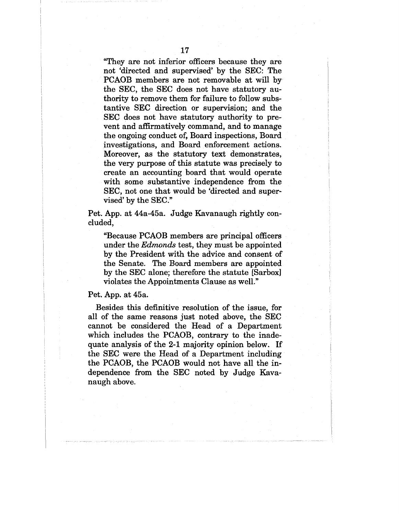"They are not inferior officers because they are not 'directed and supervised' by the SEC: The PCAOB members are not removable at will by the SEC, the SEC does not have statutory authority to remove them for failure to follow substantive SEC direction or supervision; and the SEC does not have statutory authority to prevent and affirmatively command, and to manage the ongoing conduct of, Board inspections, Board investigations, and Board enforcement actions. Moreover, as the statutory text demonstrates, the very purpose of this statute was precisely to create an accounting board that would operate with some substantive independence from the SEC, not one that would be 'directed and supervised' by the SEC."

Pet. App. at 44a-45a. Judge Kavanaugh rightly concluded,

"Because PCAOB members are principal officers under the *Edmonds* test, they must be appointed by the President with the advice and consent of the Senate. The Board members are appointed by the SEC alone; therefore the statute [Sarbox] violates the Appointments Clause as well."

#### Pet. App. at 45a.

Besides this definitive resolution of the issue, for all of the same reasons just noted above, the SEC cannot be considered the Head of a Department which includes the PCAOB, contrary to the inadequate analysis of the 2-1 majority opinion below. If the SEC were the Head of a Department including the PCAOB, the PCAOB would not have all the independence from the SEC noted by Judge Kavanaugh above.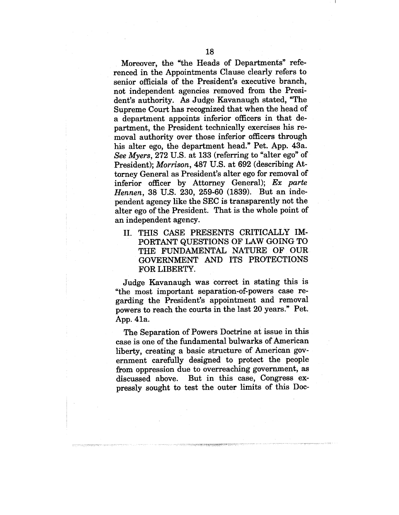Moreover, the "the Heads of Departments" referenced in the Appointments Clause clearly refers to senior officials of the President's executive branch, not independent agencies removed from the President's authority. As Judge Kavanaugh stated, "The Supreme Court has recognized that when the head of a department appoints inferior officers in that department, the President technically exercises his removal authority over those inferior officers through his alter ego, the department head." Pet. App. 43a. *See Myers,* 272 U.S.. at 133 (referring to "alter ego" of President); *Morrison,* 487 U.S. at 692 (describing Attorney General as President's alter ego for removal of inferior officer by Attorney General); *Ex parte Hennen*, 38 U.S. 230, 259-60 (1839). But an independent agency like the SEC is transparently not the alter ego of the President. That is the whole point of an independent agency.

II. THIS CASE PRESENTS CRITICALLY IM-PORTANT QUESTIONS OF LAW GOING TO THE FUNDAMENTAL NATURE OF OUR GOVERNMENT AND ITS PROTECTIONS FOR LIBERTY.

Judge Kavanaugh was correct in stating this is "the most important separation-of-powers case regarding the President's appointment and removal powers to reach the courts in the last 20 years." Pet. App. 41a.

The Separation of Powers Doctrine at issue in this case is one of the fundamental bulwarks of American liberty, creating a basic structure of American government carefully designed to protect the people from oppression due to overreaching government, as discussed above. But in this case, Congress expressly sought to test the outer limits of this Doc-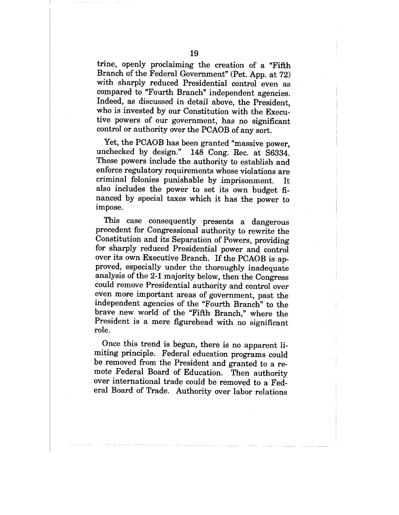trine, openly proclaiming the creation of a "Fifth Branch of the Federal Government" (Pet. App. at 72) with sharply reduced Presidential control even as compared to "Fourth Branch" independent agencies. Indeed, as discussed in detail above, the President, who is invested by our Constitution with the Executive powers of our government, has no significant control or authority over the PCAOB of any sort.

Yet, the PCAOB has been granted "massive power, unchecked by design." 148 Cong. Rec. at S6334. These powers include the authority to establish and enforce regulatory requirements whose violations are criminal felonies punishable by imprisonment. It also includes the power to set its own budget financed by special taxes which it has the power to impose.

This case consequently presents a dangerous precedent for Congressional authority to rewrite the Constitution and its Separation of Powers, providing for sharply reduced Presidential power and control over its own Executive Branch. If the PCAOB is approved, especially under the thoroughly inadequate analysis of the 2-1 majority below, then the Congress could remove Presidential authority and control over even more important areas of government, past the independent agencies of the "Fourth Branch" to the brave new world of the "Fifth Branch," where the President is a mere figurehead with no significant role.

Once this trend is begun, there is no apparent limiting principle. Federal education programs could be removed from the President and granted to a remote Federal Board of Education. Then authority over international trade could be removed to a Federal Board of Trade. Authority over labor relations